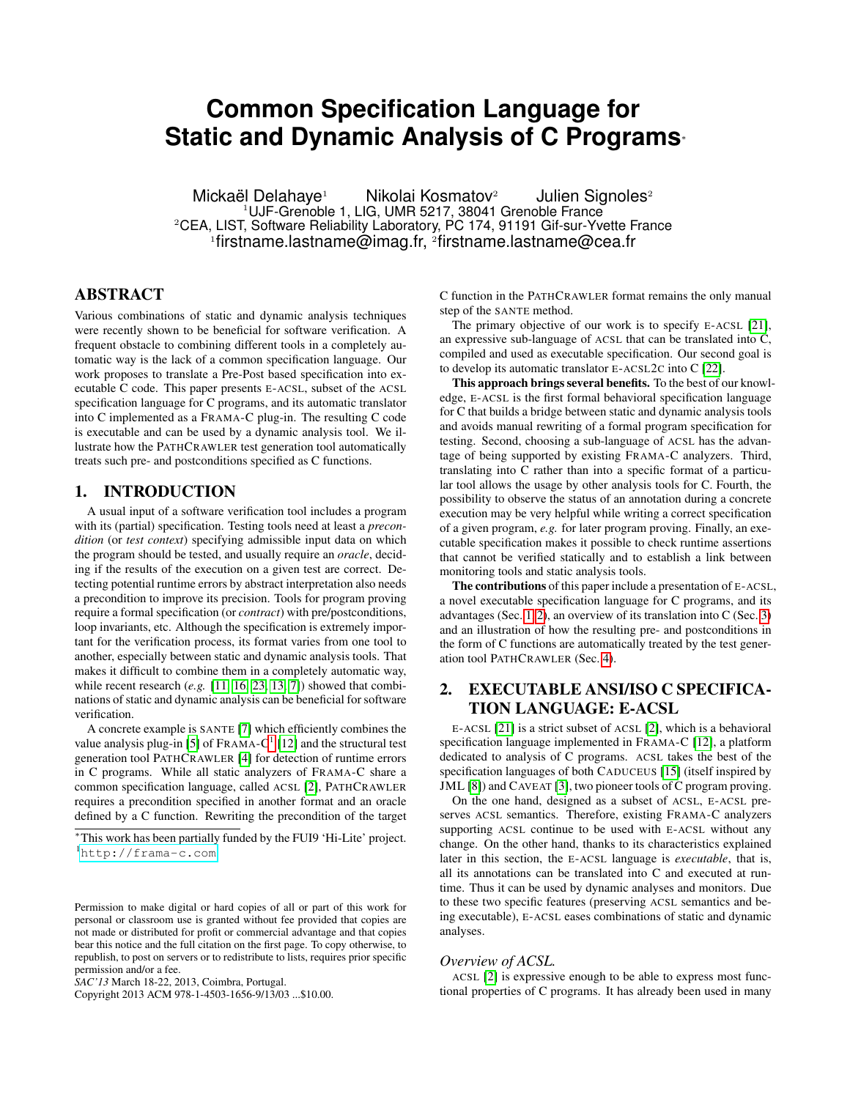# **Common Specification Language for Static and Dynamic Analysis of C Programs**<sup>∗</sup>

Mickaël Delahaye<sup>1</sup> Nikolai Kosmatov<sup>2</sup> Julien Signoles<sup>2</sup> <sup>1</sup>UJF-Grenoble 1, LIG, UMR 5217, 38041 Grenoble France <sup>2</sup>CEA, LIST, Software Reliability Laboratory, PC 174, 91191 Gif-sur-Yvette France  $^{\rm 1}$ firstname.lastname@imag.fr,  $^{\rm 2}$ firstname.lastname@cea.fr

# ABSTRACT

Various combinations of static and dynamic analysis techniques were recently shown to be beneficial for software verification. A frequent obstacle to combining different tools in a completely automatic way is the lack of a common specification language. Our work proposes to translate a Pre-Post based specification into executable C code. This paper presents E-ACSL, subset of the ACSL specification language for C programs, and its automatic translator into C implemented as a FRAMA-C plug-in. The resulting C code is executable and can be used by a dynamic analysis tool. We illustrate how the PATHCRAWLER test generation tool automatically treats such pre- and postconditions specified as C functions.

# <span id="page-0-1"></span>1. INTRODUCTION

A usual input of a software verification tool includes a program with its (partial) specification. Testing tools need at least a *precondition* (or *test context*) specifying admissible input data on which the program should be tested, and usually require an *oracle*, deciding if the results of the execution on a given test are correct. Detecting potential runtime errors by abstract interpretation also needs a precondition to improve its precision. Tools for program proving require a formal specification (or *contract*) with pre/postconditions, loop invariants, etc. Although the specification is extremely important for the verification process, its format varies from one tool to another, especially between static and dynamic analysis tools. That makes it difficult to combine them in a completely automatic way, while recent research (*e.g.* [\[11,](#page-5-0) [16,](#page-5-1) [23,](#page-5-2) [13,](#page-5-3) [7\]](#page-5-4)) showed that combinations of static and dynamic analysis can be beneficial for software verification.

A concrete example is SANTE [\[7\]](#page-5-4) which efficiently combines the value analysis plug-in [\[5\]](#page-5-5) of  $FRAMA-C<sup>1</sup>$  $FRAMA-C<sup>1</sup>$  $FRAMA-C<sup>1</sup>$  [\[12\]](#page-5-6) and the structural test generation tool PATHCRAWLER [\[4\]](#page-5-7) for detection of runtime errors in C programs. While all static analyzers of FRAMA-C share a common specification language, called ACSL [\[2\]](#page-5-8), PATHCRAWLER requires a precondition specified in another format and an oracle defined by a C function. Rewriting the precondition of the target

Copyright 2013 ACM 978-1-4503-1656-9/13/03 ...\$10.00.

C function in the PATHCRAWLER format remains the only manual step of the SANTE method.

The primary objective of our work is to specify E-ACSL [\[21\]](#page-5-9), an expressive sub-language of ACSL that can be translated into C, compiled and used as executable specification. Our second goal is to develop its automatic translator E-ACSL2C into C [\[22\]](#page-5-10).

This approach brings several benefits. To the best of our knowledge, E-ACSL is the first formal behavioral specification language for C that builds a bridge between static and dynamic analysis tools and avoids manual rewriting of a formal program specification for testing. Second, choosing a sub-language of ACSL has the advantage of being supported by existing FRAMA-C analyzers. Third, translating into C rather than into a specific format of a particular tool allows the usage by other analysis tools for C. Fourth, the possibility to observe the status of an annotation during a concrete execution may be very helpful while writing a correct specification of a given program, *e.g.* for later program proving. Finally, an executable specification makes it possible to check runtime assertions that cannot be verified statically and to establish a link between monitoring tools and static analysis tools.

The contributions of this paper include a presentation of E-ACSL, a novel executable specification language for C programs, and its advantages (Sec. [1,](#page-0-1) [2\)](#page-0-2), an overview of its translation into C (Sec. [3\)](#page-2-0) and an illustration of how the resulting pre- and postconditions in the form of C functions are automatically treated by the test generation tool PATHCRAWLER (Sec. [4\)](#page-4-0).

# <span id="page-0-2"></span>2. EXECUTABLE ANSI/ISO C SPECIFICA-TION LANGUAGE: E-ACSL

E-ACSL [\[21\]](#page-5-9) is a strict subset of ACSL [\[2\]](#page-5-8), which is a behavioral specification language implemented in FRAMA-C [\[12\]](#page-5-6), a platform dedicated to analysis of C programs. ACSL takes the best of the specification languages of both CADUCEUS [\[15\]](#page-5-11) (itself inspired by JML [\[8\]](#page-5-12)) and CAVEAT [\[3\]](#page-5-13), two pioneer tools of C program proving.

On the one hand, designed as a subset of ACSL, E-ACSL preserves ACSL semantics. Therefore, existing FRAMA-C analyzers supporting ACSL continue to be used with E-ACSL without any change. On the other hand, thanks to its characteristics explained later in this section, the E-ACSL language is *executable*, that is, all its annotations can be translated into C and executed at runtime. Thus it can be used by dynamic analyses and monitors. Due to these two specific features (preserving ACSL semantics and being executable), E-ACSL eases combinations of static and dynamic analyses.

### *Overview of ACSL.*

ACSL [\[2\]](#page-5-8) is expressive enough to be able to express most functional properties of C programs. It has already been used in many

<span id="page-0-0"></span><sup>∗</sup>This work has been partially funded by the FUI9 'Hi-Lite' project. <sup>1</sup><http://frama-c.com>

Permission to make digital or hard copies of all or part of this work for personal or classroom use is granted without fee provided that copies are not made or distributed for profit or commercial advantage and that copies bear this notice and the full citation on the first page. To copy otherwise, to republish, to post on servers or to redistribute to lists, requires prior specific permission and/or a fee.

*SAC'13* March 18-22, 2013, Coimbra, Portugal.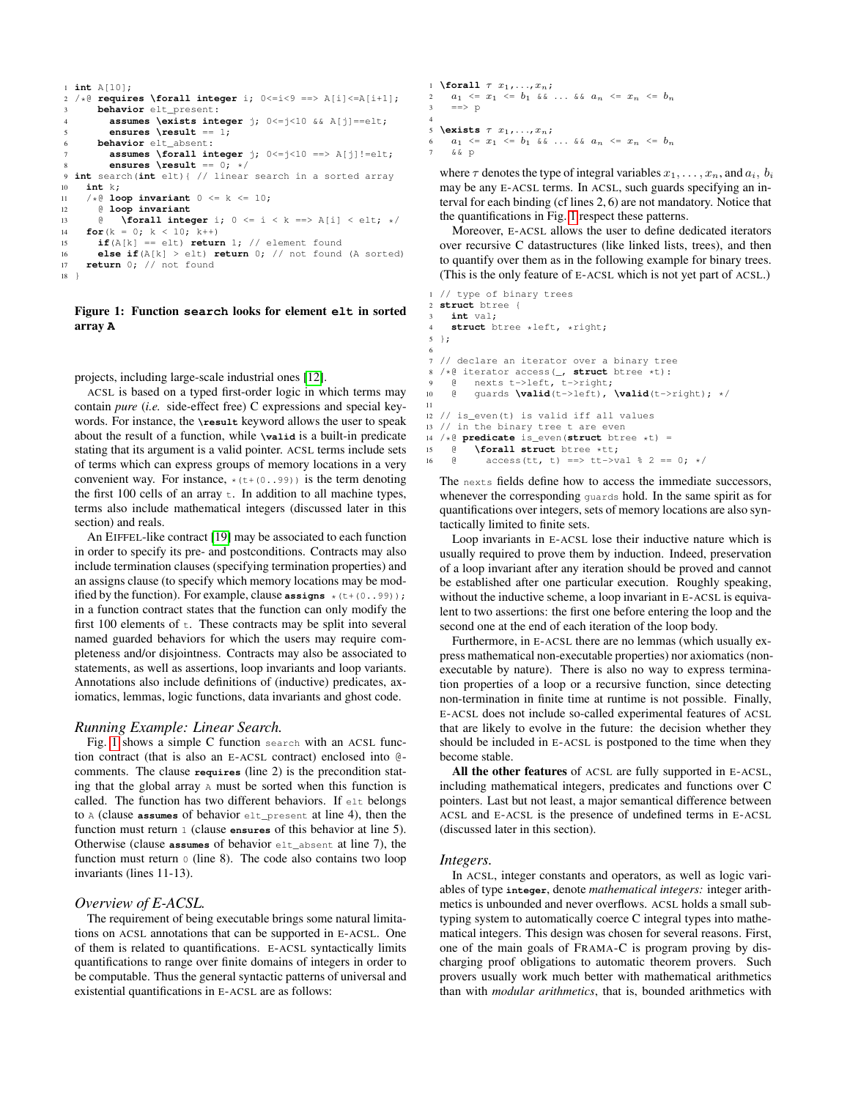```
1 int A[10];
2 /*@ requires \forall integer i; 0<=i<9 ==> A[i]<=A[i+1];
       behavior elt present:
         4 assumes \exists integer j; 0<=j<10 && A[j]==elt;
         5 ensures \result == 1;
       behavior elt absent:
         7 assumes \forall integer j; 0<=j<10 ==> A[j]!=elt;
8 ensures \result == 0; */<br>9 int search (int elt) { // linear
  int search(int elt){ // linear search in a sorted array
10 int k;<br>11 /* \theta lo
     /* 0 loop invariant 0 \le k \le 10;
12 @ loop invariant
13 @ <b>\forall integer i; 0 \le i \le k \ne -\infty A[i] \le elt; */<br>14 for (k = 0; k < 10; k++)
     for(k = 0; k < 10; k++)
15 if(A[k] == elt) return 1; // element found
16 else if(A[k] > elt) return 0; // not found (A sorted)
17 return 0; // not found
18 }
```
### <span id="page-1-0"></span>Figure 1: Function **search** looks for element **elt** in sorted array **A**

projects, including large-scale industrial ones [\[12\]](#page-5-6).

ACSL is based on a typed first-order logic in which terms may contain *pure* (*i.e.* side-effect free) C expressions and special keywords. For instance, the **\result** keyword allows the user to speak about the result of a function, while **\valid** is a built-in predicate stating that its argument is a valid pointer. ACSL terms include sets of terms which can express groups of memory locations in a very convenient way. For instance,  $*(t+(0..99))$  is the term denoting the first 100 cells of an array  $t$ . In addition to all machine types, terms also include mathematical integers (discussed later in this section) and reals.

An EIFFEL-like contract [\[19\]](#page-5-14) may be associated to each function in order to specify its pre- and postconditions. Contracts may also include termination clauses (specifying termination properties) and an assigns clause (to specify which memory locations may be modified by the function). For example, clause  $\text{assigns } \times (\text{t} + (0..99))$ ; in a function contract states that the function can only modify the first 100 elements of  $t$ . These contracts may be split into several named guarded behaviors for which the users may require completeness and/or disjointness. Contracts may also be associated to statements, as well as assertions, loop invariants and loop variants. Annotations also include definitions of (inductive) predicates, axiomatics, lemmas, logic functions, data invariants and ghost code.

# *Running Example: Linear Search.*

Fig. [1](#page-1-0) shows a simple C function search with an ACSL function contract (that is also an E-ACSL contract) enclosed into @ comments. The clause **requires** (line 2) is the precondition stating that the global array A must be sorted when this function is called. The function has two different behaviors. If elt belongs to A (clause **assumes** of behavior elt\_present at line 4), then the function must return 1 (clause **ensures** of this behavior at line 5). Otherwise (clause **assumes** of behavior elt\_absent at line 7), the function must return  $\circ$  (line 8). The code also contains two loop invariants (lines 11-13).

# *Overview of E-ACSL.*

The requirement of being executable brings some natural limitations on ACSL annotations that can be supported in E-ACSL. One of them is related to quantifications. E-ACSL syntactically limits quantifications to range over finite domains of integers in order to be computable. Thus the general syntactic patterns of universal and existential quantifications in E-ACSL are as follows:

```
1 \forall \tau x_1, \ldots, x_n;
2 a_1 \leq x_1 \leq b_1 & ... & an \leq x_n \leq b_n3 \qquad \Rightarrow p4
5 \exists \tau x_1, ..., x_n;
     a_1 \leq x_1 \leq b_1 && ... && a_n \leq x_n \leq b_n7 && p
```
where  $\tau$  denotes the type of integral variables  $x_1, \ldots, x_n$ , and  $a_i, b_i$ may be any E-ACSL terms. In ACSL, such guards specifying an interval for each binding (cf lines 2, 6) are not mandatory. Notice that the quantifications in Fig. [1](#page-1-0) respect these patterns.

Moreover, E-ACSL allows the user to define dedicated iterators over recursive C datastructures (like linked lists, trees), and then to quantify over them as in the following example for binary trees. (This is the only feature of E-ACSL which is not yet part of ACSL.)

```
// type of binary trees
2 struct btree {
3 int val;
    struct btree *left, *right;
5 };
 6
7 // declare an iterator over a binary tree
8 /*@ iterator access(_, struct btree *t):
9 @ nexts t->left, t->right;
10 \theta quards \valid(t->left), \valid(t->right); */
11
12 // is_even(t) is valid iff all values
13 // in the binary tree t are even
14 /*@ predicate is_even(struct btree *t) =
        15 @ \forall struct btree *tt;
16 @ access(tt, t) ==> tt->val % 2 == 0; \star/
```
The nexts fields define how to access the immediate successors, whenever the corresponding guards hold. In the same spirit as for quantifications over integers, sets of memory locations are also syntactically limited to finite sets.

Loop invariants in E-ACSL lose their inductive nature which is usually required to prove them by induction. Indeed, preservation of a loop invariant after any iteration should be proved and cannot be established after one particular execution. Roughly speaking, without the inductive scheme, a loop invariant in E-ACSL is equivalent to two assertions: the first one before entering the loop and the second one at the end of each iteration of the loop body.

Furthermore, in E-ACSL there are no lemmas (which usually express mathematical non-executable properties) nor axiomatics (nonexecutable by nature). There is also no way to express termination properties of a loop or a recursive function, since detecting non-termination in finite time at runtime is not possible. Finally, E-ACSL does not include so-called experimental features of ACSL that are likely to evolve in the future: the decision whether they should be included in E-ACSL is postponed to the time when they become stable.

All the other features of ACSL are fully supported in E-ACSL, including mathematical integers, predicates and functions over C pointers. Last but not least, a major semantical difference between ACSL and E-ACSL is the presence of undefined terms in E-ACSL (discussed later in this section).

#### *Integers.*

In ACSL, integer constants and operators, as well as logic variables of type **integer**, denote *mathematical integers:* integer arithmetics is unbounded and never overflows. ACSL holds a small subtyping system to automatically coerce C integral types into mathematical integers. This design was chosen for several reasons. First, one of the main goals of FRAMA-C is program proving by discharging proof obligations to automatic theorem provers. Such provers usually work much better with mathematical arithmetics than with *modular arithmetics*, that is, bounded arithmetics with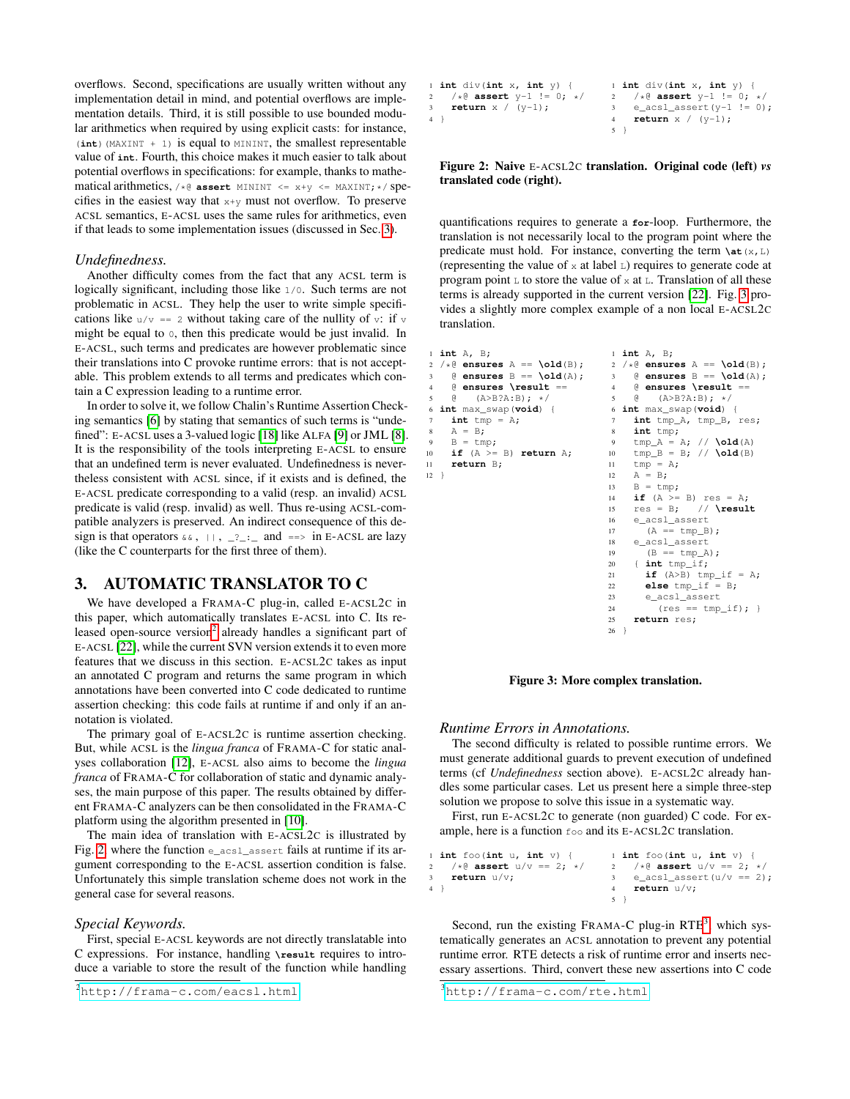overflows. Second, specifications are usually written without any implementation detail in mind, and potential overflows are implementation details. Third, it is still possible to use bounded modular arithmetics when required by using explicit casts: for instance,  $(int)$  (MAXINT + 1) is equal to MININT, the smallest representable value of **int**. Fourth, this choice makes it much easier to talk about potential overflows in specifications: for example, thanks to mathematical arithmetics,  $/ * @$  assert MININT  $\le x+y \le MAXINT; * / Sp$ ecifies in the easiest way that x+y must not overflow. To preserve ACSL semantics, E-ACSL uses the same rules for arithmetics, even if that leads to some implementation issues (discussed in Sec. [3\)](#page-2-0).

### *Undefinedness.*

Another difficulty comes from the fact that any ACSL term is logically significant, including those like  $1/0$ . Such terms are not problematic in ACSL. They help the user to write simple specifications like  $u/v = 2$  without taking care of the nullity of v: if v might be equal to 0, then this predicate would be just invalid. In E-ACSL, such terms and predicates are however problematic since their translations into C provoke runtime errors: that is not acceptable. This problem extends to all terms and predicates which contain a C expression leading to a runtime error.

In order to solve it, we follow Chalin's Runtime Assertion Checking semantics [\[6\]](#page-5-15) by stating that semantics of such terms is "undefined": E-ACSL uses a 3-valued logic [\[18\]](#page-5-16) like ALFA [\[9\]](#page-5-17) or JML [\[8\]](#page-5-12). It is the responsibility of the tools interpreting E-ACSL to ensure that an undefined term is never evaluated. Undefinedness is nevertheless consistent with ACSL since, if it exists and is defined, the E-ACSL predicate corresponding to a valid (resp. an invalid) ACSL predicate is valid (resp. invalid) as well. Thus re-using ACSL-compatible analyzers is preserved. An indirect consequence of this design is that operators  $\&\&\&\;$ ,  $||\,$ ,  $\frac{2}{2}$ : and  $\frac{2}{2}$  and  $\frac{2}{2}$  and  $\frac{2}{2}$  are lazy (like the C counterparts for the first three of them).

# <span id="page-2-0"></span>3. AUTOMATIC TRANSLATOR TO C

We have developed a FRAMA-C plug-in, called E-ACSL2C in this paper, which automatically translates E-ACSL into C. Its re-leased open-source version<sup>[2](#page-2-1)</sup> already handles a significant part of E-ACSL [\[22\]](#page-5-10), while the current SVN version extends it to even more features that we discuss in this section. E-ACSL2C takes as input an annotated C program and returns the same program in which annotations have been converted into C code dedicated to runtime assertion checking: this code fails at runtime if and only if an annotation is violated.

The primary goal of E-ACSL2C is runtime assertion checking. But, while ACSL is the *lingua franca* of FRAMA-C for static analyses collaboration [\[12\]](#page-5-6), E-ACSL also aims to become the *lingua franca* of FRAMA-C for collaboration of static and dynamic analyses, the main purpose of this paper. The results obtained by different FRAMA-C analyzers can be then consolidated in the FRAMA-C platform using the algorithm presented in [\[10\]](#page-5-18).

The main idea of translation with E-ACSL2C is illustrated by Fig. [2,](#page-2-2) where the function e\_acsl\_assert fails at runtime if its argument corresponding to the E-ACSL assertion condition is false. Unfortunately this simple translation scheme does not work in the general case for several reasons.

### *Special Keywords.*

First, special E-ACSL keywords are not directly translatable into C expressions. For instance, handling **\result** requires to introduce a variable to store the result of the function while handling

|   | $1$ int div(int x, int y) { | 1 int $div(int x, int y)$ {                   |
|---|-----------------------------|-----------------------------------------------|
|   |                             | 2 /*@ assert $y-1 := 0$ ; */                  |
| 3 | return $x / (y-1)$ ;        | e acsl assert $(y-1  = 0)$ ;<br>$\mathcal{R}$ |
|   | 4                           | 4 <b>return</b> $x / (y-1)$ ;                 |
|   |                             |                                               |

<span id="page-2-2"></span>Figure 2: Naive E-ACSL2C translation. Original code (left) *vs* translated code (right).

quantifications requires to generate a **for**-loop. Furthermore, the translation is not necessarily local to the program point where the predicate must hold. For instance, converting the term  $\lambda$ at (x, L) (representing the value of  $x$  at label  $L$ ) requires to generate code at program point  $\mathbb{L}$  to store the value of  $\mathbb{R}$  at  $\mathbb{L}$ . Translation of all these terms is already supported in the current version [\[22\]](#page-5-10). Fig. [3](#page-2-3) provides a slightly more complex example of a non local E-ACSL2C translation.

|                | $1$ int $A$ , $B$ ;                                             | $1$ int $A$ , $B$ ;                       |
|----------------|-----------------------------------------------------------------|-------------------------------------------|
|                | $2 \neq \emptyset$ ensures $A == \old(B)$ ;                     | 2 / $\star \theta$ ensures A == \old(B);  |
|                | $\theta$ ensures $B == \text{old}(A)$ ;<br>$3^{\circ}$          | 3 $\theta$ ensures $B == \text{old}(A)$ ; |
| $\overline{4}$ | $@$ ensures \result ==                                          | 4 $\theta$ ensures \result ==             |
| 5              | $\left( \text{A} > \text{B} ? \text{A} : \text{B} \right)$ ; */ | $($ A>B?A:B); */<br>5 <sup>7</sup>        |
|                | 6 $int$ max_swap (void) {                                       | 6 $int$ max_swap (void) {                 |
| 7              | int $tmp = A;$                                                  | $int$ tmp_A, tmp_B, res;<br>$\tau$        |
| 8              | $A = B;$                                                        | $int$ $tmp;$<br>8                         |
| 9              | $B = \text{tmp};$                                               | $tmp_A = A; // \text{old}(A)$<br>9        |
| 10             | if $(A \ge B)$ return A;                                        | 10 $\text{tmp_B} = B; // \text{old}(B)$   |
|                | $11$ return $B$ ;                                               | $11$ tmp = A;                             |
| $12$ }         |                                                                 | $A = B;$<br>12 -                          |
|                |                                                                 | $B = tmp;$<br>13                          |
|                |                                                                 | if $(A \ge B)$ res = A;<br>14             |
|                |                                                                 | $res = B;$ // \result<br>15               |
|                |                                                                 | 16 e_acsl_assert                          |
|                |                                                                 | $(A == tmp B)$ ;<br>17                    |
|                |                                                                 | e_acsl_assert<br>18 —                     |
|                |                                                                 | $(B == tmp A)$ ;<br>19                    |
|                |                                                                 | { $int$ $tmp_if;$<br>20                   |
|                |                                                                 | if $(A> B)$ tmp_if = A;<br>21             |
|                |                                                                 | else $tmp_if = B;$<br>22                  |
|                |                                                                 | e_acsl_assert<br>23                       |
|                |                                                                 | $(res == tmp_if);$<br>24                  |
|                |                                                                 | return res;<br>25                         |
|                |                                                                 | 26<br>$\cdot$                             |

### <span id="page-2-3"></span>Figure 3: More complex translation.

#### *Runtime Errors in Annotations.*

The second difficulty is related to possible runtime errors. We must generate additional guards to prevent execution of undefined terms (cf *Undefinedness* section above). E-ACSL2C already handles some particular cases. Let us present here a simple three-step solution we propose to solve this issue in a systematic way.

First, run E-ACSL2C to generate (non guarded) C code. For example, here is a function foo and its E-ACSL2C translation.

|    | $1$ int foo(int $u$ , int $v$ ) { | $1$ int foo(int u, int v) {    |
|----|-----------------------------------|--------------------------------|
|    | 2 /*@ assert $u/v == 2$ ; */      | 2 /*@ assert $u/v == 2; */$    |
| 3. | return u/v;                       | 3 e acsl assert $(u/v == 2)$ ; |
|    | 4 }                               | 4 <b>return</b> $u/v$ ;        |
|    |                                   |                                |

Second, run the existing FRAMA-C plug-in  $RTE<sup>3</sup>$  $RTE<sup>3</sup>$  $RTE<sup>3</sup>$ , which systematically generates an ACSL annotation to prevent any potential runtime error. RTE detects a risk of runtime error and inserts necessary assertions. Third, convert these new assertions into C code

<span id="page-2-1"></span><sup>2</sup><http://frama-c.com/eacsl.html>

<span id="page-2-4"></span><sup>3</sup><http://frama-c.com/rte.html>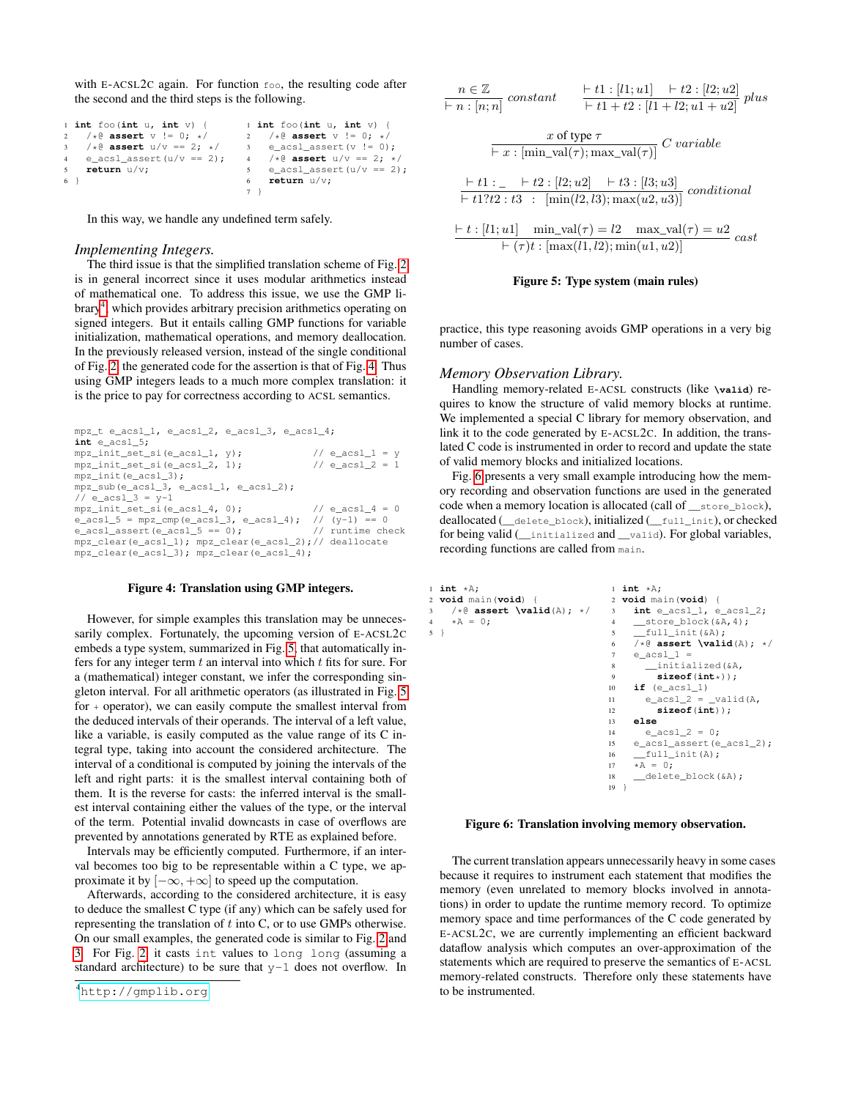with E-ACSL2C again. For function  $f$ <sub>00</sub>, the resulting code after the second and the third steps is the following.

```
1 int foo(int u, int v) {
2 /*@ assert v != 0; */<br>3 /*@ assert u/v == 2:
    3 /*@ assert u/v == 2; */
4 e_acsl_assert(u/v == 2);
5 return u/v;
6 }
                                     1 int foo(int u, int v) {
                                     2 /*\theta assert v != 0; */<br>3 e acsl assert (v != 0)
                                         e_       e_       s.4 /\star@ assert u/v = 2; \star/5 e_acsl_assert(u/v == 2);
                                      6 return u/v;
                                      7 }
```
In this way, we handle any undefined term safely.

### *Implementing Integers.*

The third issue is that the simplified translation scheme of Fig. [2](#page-2-2) is in general incorrect since it uses modular arithmetics instead of mathematical one. To address this issue, we use the GMP li-brary<sup>[4](#page-3-0)</sup>, which provides arbitrary precision arithmetics operating on signed integers. But it entails calling GMP functions for variable initialization, mathematical operations, and memory deallocation. In the previously released version, instead of the single conditional of Fig. [2,](#page-2-2) the generated code for the assertion is that of Fig. [4.](#page-3-1) Thus using GMP integers leads to a much more complex translation: it is the price to pay for correctness according to ACSL semantics.

```
mpz_t e_acsl_1, e_acsl_2, e_acsl_3, e_acsl_4;
int e_acsl_5;
mpz_init_set_si(e_acsl_1, y);<br>
mpz_init_set_si(e_acsl_2, 1);<br>
// e_acsl_2 = 1
mpz\_init\_set\_si(e\_acsl\_2, 1);mpz_init(e_acsl_3);
mpz_sub(e_acsl_3, e_acsl_1, e_acsl_2);
// e_acts1_3 = y-1mpz\_init\_set\_si(e\_acsl\_4, 0); // e\_acsl\_4 = 0e\_{acsl} = \frac{1}{5} = \frac{mpz_{cmp}(e\_{acsl} - 3, e\_{acsl} - 4)}{1}; // (y-1) == 0<br>e_acsl_assert(e_acsl_5 == 0); // runtime check
e_acsl_assert(e_acsl_5 == 0);
mpz_clear(e_acsl_1); mpz_clear(e_acsl_2);// deallocate
mpz_clear(e_acsl_3); mpz_clear(e_acsl_4);
```
#### <span id="page-3-1"></span>Figure 4: Translation using GMP integers.

However, for simple examples this translation may be unnecessarily complex. Fortunately, the upcoming version of E-ACSL2C embeds a type system, summarized in Fig. [5,](#page-3-2) that automatically infers for any integer term  $t$  an interval into which  $t$  fits for sure. For a (mathematical) integer constant, we infer the corresponding singleton interval. For all arithmetic operators (as illustrated in Fig. [5](#page-3-2) for + operator), we can easily compute the smallest interval from the deduced intervals of their operands. The interval of a left value, like a variable, is easily computed as the value range of its C integral type, taking into account the considered architecture. The interval of a conditional is computed by joining the intervals of the left and right parts: it is the smallest interval containing both of them. It is the reverse for casts: the inferred interval is the smallest interval containing either the values of the type, or the interval of the term. Potential invalid downcasts in case of overflows are prevented by annotations generated by RTE as explained before.

Intervals may be efficiently computed. Furthermore, if an interval becomes too big to be representable within a C type, we approximate it by  $[-\infty, +\infty]$  to speed up the computation.

Afterwards, according to the considered architecture, it is easy to deduce the smallest C type (if any) which can be safely used for representing the translation of  $t$  into  $C$ , or to use GMPs otherwise. On our small examples, the generated code is similar to Fig. [2](#page-2-2) and [3.](#page-2-3) For Fig. [2,](#page-2-2) it casts int values to long long (assuming a standard architecture) to be sure that  $y-1$  does not overflow. In

$$
\frac{n \in \mathbb{Z}}{\vdash n : [n; n]} \; constant \qquad \frac{\vdash t1 : [l1; u1] \quad \vdash t2 : [l2; u2]}{\vdash t1 + t2 : [l1 + l2; u1 + u2]} \; plus
$$

$$
\frac{x \text{ of type } \tau}{\vdash x : [\min\_val(\tau); \max\_val(\tau)]} \ C \ variable
$$

$$
\frac{\vdash t1:_{-} \vdash t2: [l2; u2] \vdash t3: [l3; u3]}{\vdash t1?t2: t3: [min(l2, l3); max(u2, u3)]} conditional
$$

$$
\frac{\vdash t : [l1; u1] \quad \min\_val(\tau) = l2 \quad \max\_val(\tau) = u2}{\vdash (\tau)t : [\max(l1, l2); \min(u1, u2)]} \; \text{cast}
$$

#### <span id="page-3-2"></span>Figure 5: Type system (main rules)

practice, this type reasoning avoids GMP operations in a very big number of cases.

# *Memory Observation Library.*

Handling memory-related E-ACSL constructs (like **\valid**) requires to know the structure of valid memory blocks at runtime. We implemented a special C library for memory observation, and link it to the code generated by E-ACSL2C. In addition, the translated C code is instrumented in order to record and update the state of valid memory blocks and initialized locations.

Fig. [6](#page-3-3) presents a very small example introducing how the memory recording and observation functions are used in the generated code when a memory location is allocated (call of \_\_store\_block), deallocated (\_\_delete\_block), initialized (\_\_full\_init), or checked for being valid (\_\_initialized and \_\_valid). For global variables, recording functions are called from main.

|       | 1 int $\star$ A;               | $1$ int $\star$ A;     |                                |
|-------|--------------------------------|------------------------|--------------------------------|
|       | 2 void main (void) {           | 2 void main (void) {   |                                |
|       | $3$ /*@ assert \valid(A); */ 3 |                        | int e acsl $1$ , e acsl $2$ ;  |
|       | 4 $*A = 0;$                    | $\overline{4}$         | store block(&A,4);             |
| $5$ } |                                | 5                      | full init(&A);                 |
|       |                                | 6 -                    | $/*$ @ assert \valid(A); */    |
|       |                                | $e$ acsl 1 =<br>$\tau$ |                                |
|       |                                | 8                      | initialized(&A,                |
|       |                                | 9                      | $sizeof(int*)$ ;               |
|       |                                | if (e acsl $1$ )<br>10 |                                |
|       |                                | 11                     | e acsl $2 = \text{valid}(A)$ , |
|       |                                | 12                     | $sizeof(int))$ ;               |
|       |                                | else<br>13             |                                |
|       |                                | 14                     | e acsl $2 = 0$ ;               |
|       |                                |                        | $15$ e acsl assert (e acsl 2); |
|       |                                | 16                     | full init(A);                  |
|       |                                | $17 \times A = 0$ :    |                                |
|       |                                |                        | 18 delete block (&A);          |
|       |                                | $19$ }                 |                                |

#### <span id="page-3-3"></span>Figure 6: Translation involving memory observation.

The current translation appears unnecessarily heavy in some cases because it requires to instrument each statement that modifies the memory (even unrelated to memory blocks involved in annotations) in order to update the runtime memory record. To optimize memory space and time performances of the C code generated by E-ACSL2C, we are currently implementing an efficient backward dataflow analysis which computes an over-approximation of the statements which are required to preserve the semantics of E-ACSL memory-related constructs. Therefore only these statements have to be instrumented.

<span id="page-3-0"></span><sup>4</sup><http://gmplib.org>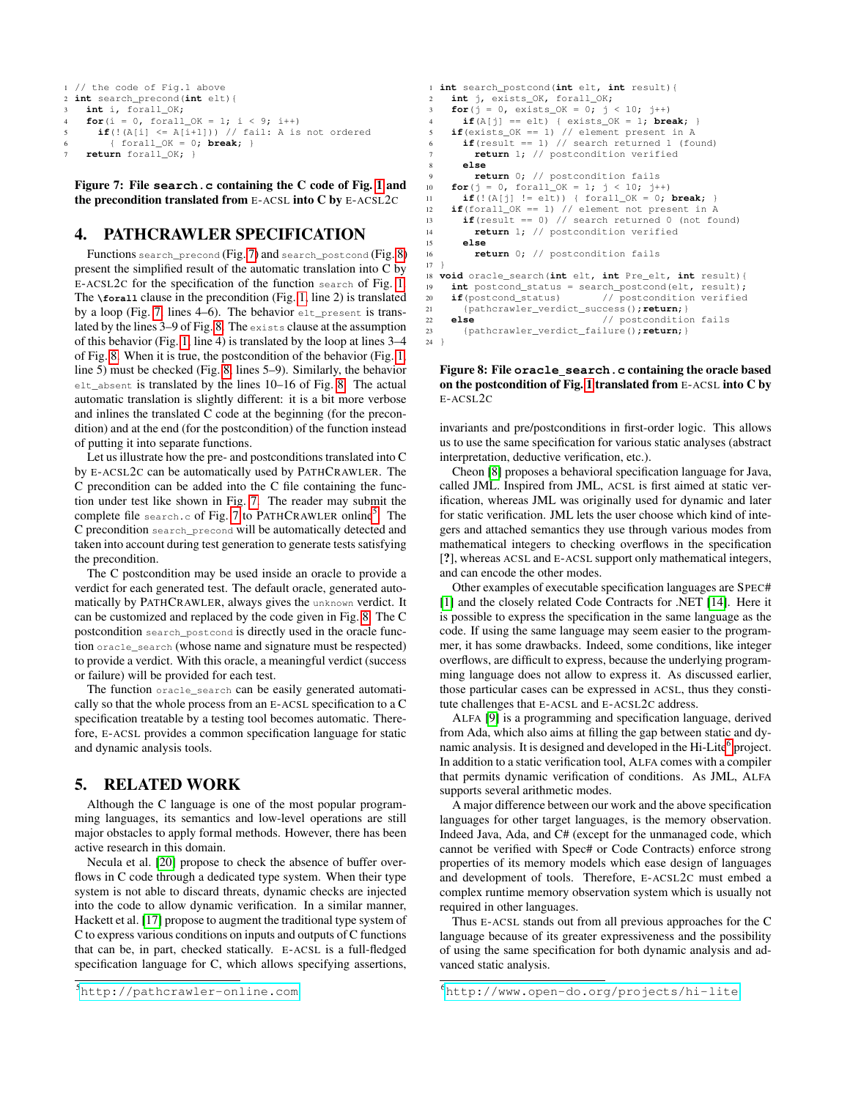```
// the code of Fig.1 above
2 int search_precond(int elt){
    int i, forall OK;
    for(i = 0, forall_OK = 1; i < 9; i++)
      \textbf{if}(\text{!}(A[i]) \leq A[i+1])) // fail: A is not ordered
         \{ forall OK = 0; break; \}7 return forall_OK; }
```
<span id="page-4-1"></span>Figure 7: File **search.c** containing the C code of Fig. [1](#page-1-0) and the precondition translated from E-ACSL into C by E-ACSL2C

# <span id="page-4-0"></span>4. PATHCRAWLER SPECIFICATION

Functions search\_precond (Fig. [7\)](#page-4-1) and search\_postcond (Fig. [8\)](#page-4-2) present the simplified result of the automatic translation into C by E-ACSL2C for the specification of the function search of Fig. [1.](#page-1-0) The **\forall** clause in the precondition (Fig. [1,](#page-1-0) line 2) is translated by a loop (Fig. [7,](#page-4-1) lines 4–6). The behavior elt\_present is translated by the lines 3–9 of Fig. [8.](#page-4-2) The exists clause at the assumption of this behavior (Fig. [1,](#page-1-0) line 4) is translated by the loop at lines 3–4 of Fig. [8.](#page-4-2) When it is true, the postcondition of the behavior (Fig. [1,](#page-1-0) line 5) must be checked (Fig. [8,](#page-4-2) lines 5–9). Similarly, the behavior elt\_absent is translated by the lines 10–16 of Fig. [8.](#page-4-2) The actual automatic translation is slightly different: it is a bit more verbose and inlines the translated C code at the beginning (for the precondition) and at the end (for the postcondition) of the function instead of putting it into separate functions.

Let us illustrate how the pre- and postconditions translated into C by E-ACSL2C can be automatically used by PATHCRAWLER. The C precondition can be added into the C file containing the function under test like shown in Fig. [7.](#page-4-1) The reader may submit the complete file search.c of Fig. [7](#page-4-1) to PATHCRAWLER online<sup>[5](#page-4-3)</sup>. The C precondition search\_precond will be automatically detected and taken into account during test generation to generate tests satisfying the precondition.

The C postcondition may be used inside an oracle to provide a verdict for each generated test. The default oracle, generated automatically by PATHCRAWLER, always gives the unknown verdict. It can be customized and replaced by the code given in Fig. [8.](#page-4-2) The C postcondition search\_postcond is directly used in the oracle function oracle\_search (whose name and signature must be respected) to provide a verdict. With this oracle, a meaningful verdict (success or failure) will be provided for each test.

The function oracle\_search can be easily generated automatically so that the whole process from an E-ACSL specification to a C specification treatable by a testing tool becomes automatic. Therefore, E-ACSL provides a common specification language for static and dynamic analysis tools.

# 5. RELATED WORK

Although the C language is one of the most popular programming languages, its semantics and low-level operations are still major obstacles to apply formal methods. However, there has been active research in this domain.

Necula et al. [\[20\]](#page-5-19) propose to check the absence of buffer overflows in C code through a dedicated type system. When their type system is not able to discard threats, dynamic checks are injected into the code to allow dynamic verification. In a similar manner, Hackett et al. [\[17\]](#page-5-20) propose to augment the traditional type system of C to express various conditions on inputs and outputs of C functions that can be, in part, checked statically. E-ACSL is a full-fledged specification language for C, which allows specifying assertions,

```
5http://pathcrawler-online.com
```

```
1 int search_postcond(int elt, int result){
2 int j, exists_OK, forall_OK;
    for(j = 0, exists_OK = 0; j < 10; j++)\mathbf{if}(\mathbf{A}[j] == \mathbf{elt}) { \mathbf{exists}(\mathbf{OK} = 1; \mathbf{break}; )\textbf{if}(\text{exists}\_0K == 1) // element present in A
       \textbf{if}(\text{result} == 1) // search returned 1 (found)
         7 return 1; // postcondition verified
       8 else
         9 return 0; // postcondition fails
10 for(j = 0, forall_OK = 1; j < 10; j++)
11 if(!(A[j] != elt)) { forall_OK = 0; break; }
12 if(forall_OK == 1) // element not present in A
13 if(result == 0) // search returned 0 (not found)
14 return 1; // postcondition verified
15 else
16 return 0; // postcondition fails
17 }
18 void oracle_search(int elt, int Pre_elt, int result){
19 int postcond_status = search_postcond(elt, result);
20 if(postcond_status) // postcondition verified
21 {pathcrawler_verdict_success();return;}
22 else // postcondition fails
23 {pathcrawler_verdict_failure();return;}
24 }
```
# <span id="page-4-2"></span>Figure 8: File **oracle search.c** containing the oracle based on the postcondition of Fig. [1](#page-1-0) translated from E-ACSL into C by E-ACSL2C

invariants and pre/postconditions in first-order logic. This allows us to use the same specification for various static analyses (abstract interpretation, deductive verification, etc.).

Cheon [\[8\]](#page-5-12) proposes a behavioral specification language for Java, called JML. Inspired from JML, ACSL is first aimed at static verification, whereas JML was originally used for dynamic and later for static verification. JML lets the user choose which kind of integers and attached semantics they use through various modes from mathematical integers to checking overflows in the specification [?], whereas ACSL and E-ACSL support only mathematical integers, and can encode the other modes.

Other examples of executable specification languages are SPEC# [\[1\]](#page-5-21) and the closely related Code Contracts for .NET [\[14\]](#page-5-22). Here it is possible to express the specification in the same language as the code. If using the same language may seem easier to the programmer, it has some drawbacks. Indeed, some conditions, like integer overflows, are difficult to express, because the underlying programming language does not allow to express it. As discussed earlier, those particular cases can be expressed in ACSL, thus they constitute challenges that E-ACSL and E-ACSL2C address.

ALFA [\[9\]](#page-5-17) is a programming and specification language, derived from Ada, which also aims at filling the gap between static and dy-namic analysis. It is designed and developed in the Hi-Lite<sup>[6](#page-4-4)</sup> project. In addition to a static verification tool, ALFA comes with a compiler that permits dynamic verification of conditions. As JML, ALFA supports several arithmetic modes.

A major difference between our work and the above specification languages for other target languages, is the memory observation. Indeed Java, Ada, and C# (except for the unmanaged code, which cannot be verified with Spec# or Code Contracts) enforce strong properties of its memory models which ease design of languages and development of tools. Therefore, E-ACSL2C must embed a complex runtime memory observation system which is usually not required in other languages.

Thus E-ACSL stands out from all previous approaches for the C language because of its greater expressiveness and the possibility of using the same specification for both dynamic analysis and advanced static analysis.

<span id="page-4-4"></span><sup>6</sup><http://www.open-do.org/projects/hi-lite>